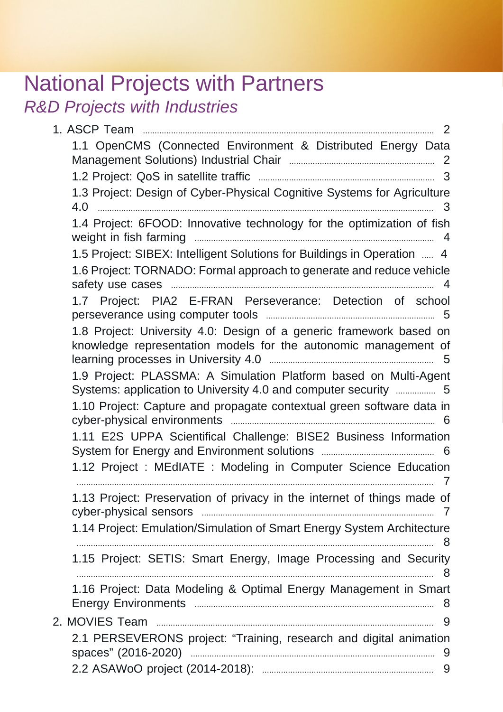# National Projects with Partners

R&D Projects with Industries

| 1.1 OpenCMS (Connected Environment & Distributed Energy Data                                                                           |
|----------------------------------------------------------------------------------------------------------------------------------------|
|                                                                                                                                        |
|                                                                                                                                        |
| 1.3 Project: Design of Cyber-Physical Cognitive Systems for Agriculture                                                                |
| 3                                                                                                                                      |
| 1.4 Project: 6FOOD: Innovative technology for the optimization of fish                                                                 |
| 1.5 Project: SIBEX: Intelligent Solutions for Buildings in Operation  4                                                                |
| 1.6 Project: TORNADO: Formal approach to generate and reduce vehicle                                                                   |
| 1.7 Project: PIA2 E-FRAN Perseverance: Detection of school                                                                             |
| 1.8 Project: University 4.0: Design of a generic framework based on<br>knowledge representation models for the autonomic management of |
| 1.9 Project: PLASSMA: A Simulation Platform based on Multi-Agent<br>Systems: application to University 4.0 and computer security  5    |
| 1.10 Project: Capture and propagate contextual green software data in                                                                  |
| 1.11 E2S UPPA Scientifical Challenge: BISE2 Business Information                                                                       |
| 1.12 Project : MEdIATE : Modeling in Computer Science Education                                                                        |
| 1.13 Project: Preservation of privacy in the internet of things made of                                                                |
| 1.14 Project: Emulation/Simulation of Smart Energy System Architecture                                                                 |
| 1.15 Project: SETIS: Smart Energy, Image Processing and Security                                                                       |
| 1.16 Project: Data Modeling & Optimal Energy Management in Smart                                                                       |
|                                                                                                                                        |
| 2.1 PERSEVERONS project: "Training, research and digital animation                                                                     |
|                                                                                                                                        |
|                                                                                                                                        |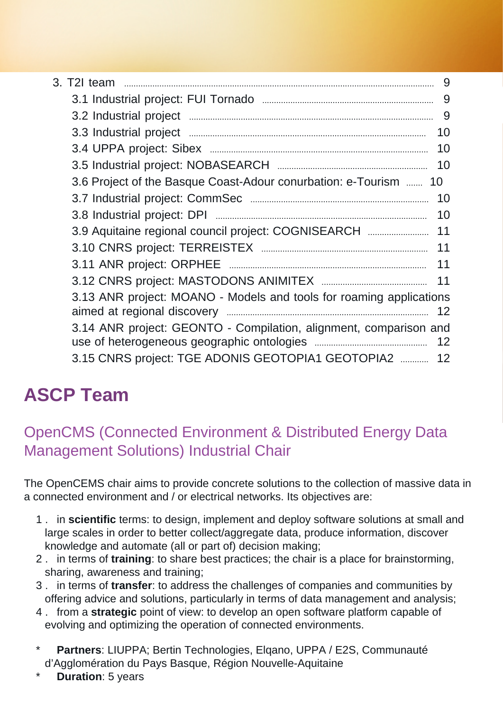| 3. T2I team<br>$\label{eq:1} \begin{minipage}{0.9\linewidth} \begin{minipage}{0.9\linewidth} \begin{minipage}{0.9\linewidth} \begin{minipage}{0.9\linewidth} \end{minipage} \end{minipage} \begin{minipage}{0.9\linewidth} \begin{minipage}{0.9\linewidth} \begin{minipage}{0.9\linewidth} \end{minipage} \end{minipage} \end{minipage} \begin{minipage}{0.9\linewidth} \begin{minipage}{0.9\linewidth} \begin{minipage}{0.9\linewidth} \end{minipage} \end{minipage} \end{minipage} \begin{minipage}{0.9\linewidth} \begin{minipage}{0.9\linewidth} \$ | 9  |
|---------------------------------------------------------------------------------------------------------------------------------------------------------------------------------------------------------------------------------------------------------------------------------------------------------------------------------------------------------------------------------------------------------------------------------------------------------------------------------------------------------------------------------------------------------|----|
|                                                                                                                                                                                                                                                                                                                                                                                                                                                                                                                                                         | 9  |
|                                                                                                                                                                                                                                                                                                                                                                                                                                                                                                                                                         | 9  |
|                                                                                                                                                                                                                                                                                                                                                                                                                                                                                                                                                         | 10 |
|                                                                                                                                                                                                                                                                                                                                                                                                                                                                                                                                                         | 10 |
|                                                                                                                                                                                                                                                                                                                                                                                                                                                                                                                                                         | 10 |
| 3.6 Project of the Basque Coast-Adour conurbation: e-Tourism  10                                                                                                                                                                                                                                                                                                                                                                                                                                                                                        |    |
| 10                                                                                                                                                                                                                                                                                                                                                                                                                                                                                                                                                      |    |
| 10                                                                                                                                                                                                                                                                                                                                                                                                                                                                                                                                                      |    |
| 3.9 Aquitaine regional council project: COGNISEARCH<br>11                                                                                                                                                                                                                                                                                                                                                                                                                                                                                               |    |
| 11                                                                                                                                                                                                                                                                                                                                                                                                                                                                                                                                                      |    |
| 11                                                                                                                                                                                                                                                                                                                                                                                                                                                                                                                                                      |    |
|                                                                                                                                                                                                                                                                                                                                                                                                                                                                                                                                                         |    |
| 3.13 ANR project: MOANO - Models and tools for roaming applications                                                                                                                                                                                                                                                                                                                                                                                                                                                                                     |    |
| 3.14 ANR project: GEONTO - Compilation, alignment, comparison and                                                                                                                                                                                                                                                                                                                                                                                                                                                                                       |    |
| 3.15 CNRS project: TGE ADONIS GEOTOPIA1 GEOTOPIA2<br>12                                                                                                                                                                                                                                                                                                                                                                                                                                                                                                 |    |

# <span id="page-1-0"></span>**ASCP Team**

#### <span id="page-1-1"></span>OpenCMS (Connected Environment & Distributed Energy Data Management Solutions) Industrial Chair

The OpenCEMS chair aims to provide concrete solutions to the collection of massive data in a connected environment and / or electrical networks. Its objectives are:

- 1 . in **scientific** terms: to design, implement and deploy software solutions at small and large scales in order to better collect/aggregate data, produce information, discover knowledge and automate (all or part of) decision making;
- 2 . in terms of **training**: to share best practices; the chair is a place for brainstorming, sharing, awareness and training;
- 3 . in terms of **transfer**: to address the challenges of companies and communities by offering advice and solutions, particularly in terms of data management and analysis;
- 4 . from a **strategic** point of view: to develop an open software platform capable of evolving and optimizing the operation of connected environments.
- Partners: LIUPPA; Bertin Technologies, Elgano, UPPA / E2S, Communauté d'Agglomération du Pays Basque, Région Nouvelle-Aquitaine
- **Duration**: 5 years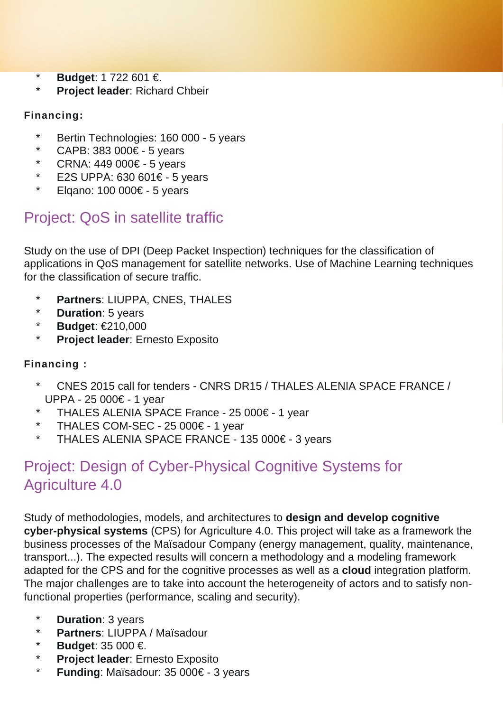- **Budget: 1 722 601 €.**
- \* **Project leader**: Richard Chbeir

#### **Financing:**

- \* Bertin Technologies: 160 000 5 years
- \* CAPB: 383 000€ 5 years
- \* CRNA: 449 000€ 5 years
- \* E2S UPPA: 630 601€ 5 years
- \* Elqano: 100 000€ 5 years

### <span id="page-2-0"></span>Project: QoS in satellite traffic

Study on the use of DPI (Deep Packet Inspection) techniques for the classification of applications in QoS management for satellite networks. Use of Machine Learning techniques for the classification of secure traffic.

- **Partners: LIUPPA, CNES, THALES**
- \* **Duration**: 5 years
- \* **Budget**: €210,000
- \* **Project leader**: Ernesto Exposito

#### **Financing :**

- CNES 2015 call for tenders CNRS DR15 / THALES ALENIA SPACE FRANCE / UPPA - 25 000€ - 1 year
- \* THALES ALENIA SPACE France 25 000€ 1 year<br>\* THALES COM SEC 25 000€ 1 year
- THALES COM-SEC 25 000€ 1 year
- \* THALES ALENIA SPACE FRANCE 135 000€ 3 years

### <span id="page-2-1"></span>Project: Design of Cyber-Physical Cognitive Systems for Agriculture 4.0

Study of methodologies, models, and architectures to **design and develop cognitive cyber-physical systems** (CPS) for Agriculture 4.0. This project will take as a framework the business processes of the Maïsadour Company (energy management, quality, maintenance, transport...). The expected results will concern a methodology and a modeling framework adapted for the CPS and for the cognitive processes as well as a **cloud** integration platform. The major challenges are to take into account the heterogeneity of actors and to satisfy nonfunctional properties (performance, scaling and security).

- **Duration**: 3 years
- \* **Partners**: LIUPPA / Maïsadour
- \* **Budget**: 35 000 €.
- \* **Project leader**: Ernesto Exposito
- \* **Funding**: Maïsadour: 35 000€ 3 years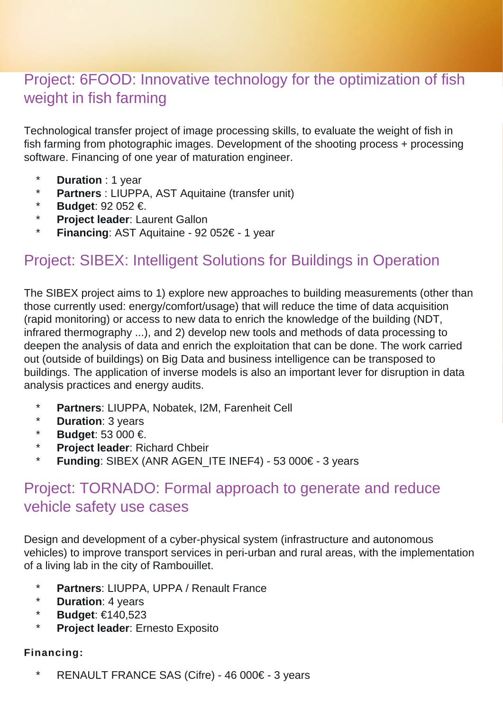#### <span id="page-3-0"></span>Project: 6FOOD: Innovative technology for the optimization of fish weight in fish farming

Technological transfer project of image processing skills, to evaluate the weight of fish in fish farming from photographic images. Development of the shooting process + processing software. Financing of one year of maturation engineer.

- \* **Duration** : 1 year
- \* **Partners** : LIUPPA, AST Aquitaine (transfer unit)
- \* **Budget**: 92 052 €.
- **Project leader: Laurent Gallon**
- \* **Financing**: AST Aquitaine 92 052€ 1 year

#### <span id="page-3-1"></span>Project: SIBEX: Intelligent Solutions for Buildings in Operation

The SIBEX project aims to 1) explore new approaches to building measurements (other than those currently used: energy/comfort/usage) that will reduce the time of data acquisition (rapid monitoring) or access to new data to enrich the knowledge of the building (NDT, infrared thermography ...), and 2) develop new tools and methods of data processing to deepen the analysis of data and enrich the exploitation that can be done. The work carried out (outside of buildings) on Big Data and business intelligence can be transposed to buildings. The application of inverse models is also an important lever for disruption in data analysis practices and energy audits.

- \* **Partners**: LIUPPA, Nobatek, I2M, Farenheit Cell
- \* **Duration**: 3 years
- \* **Budget**: 53 000 €.
- \* **Project leader**: Richard Chbeir
- \* **Funding**: SIBEX (ANR AGEN\_ITE INEF4) 53 000€ 3 years

#### <span id="page-3-2"></span>Project: TORNADO: Formal approach to generate and reduce vehicle safety use cases

Design and development of a cyber-physical system (infrastructure and autonomous vehicles) to improve transport services in peri-urban and rural areas, with the implementation of a living lab in the city of Rambouillet.

- \* **Partners**: LIUPPA, UPPA / Renault France
- \* **Duration**: 4 years
- \* **Budget**: €140,523
- **Project leader: Ernesto Exposito**

#### **Financing:**

\* RENAULT FRANCE SAS (Cifre) - 46 000€ - 3 years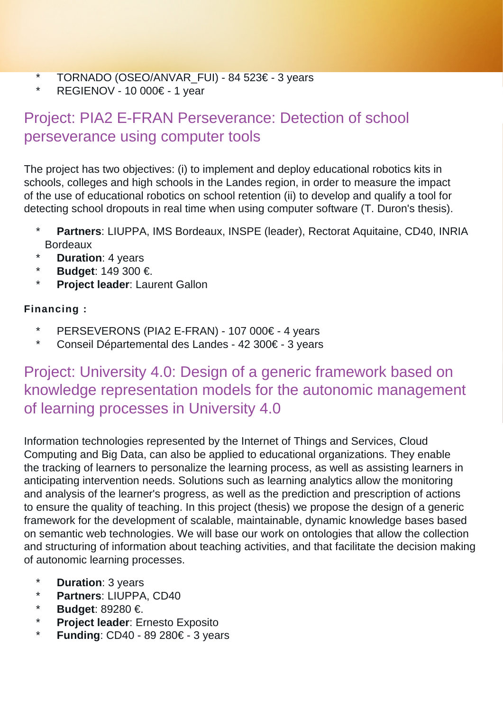- \* TORNADO (OSEO/ANVAR\_FUI) 84 523€ 3 years<br>\* PECIENOV 10 000€ 1 year
- REGIENOV 10 000€ 1 year

### <span id="page-4-0"></span>Project: PIA2 E-FRAN Perseverance: Detection of school perseverance using computer tools

The project has two objectives: (i) to implement and deploy educational robotics kits in schools, colleges and high schools in the Landes region, in order to measure the impact of the use of educational robotics on school retention (ii) to develop and qualify a tool for detecting school dropouts in real time when using computer software (T. Duron's thesis).

- Partners: LIUPPA, IMS Bordeaux, INSPE (leader), Rectorat Aquitaine, CD40, INRIA Bordeaux
- **Duration**: 4 years
- \* **Budget**: 149 300 €.
- **Project leader: Laurent Gallon**

#### **Financing :**

- \* PERSEVERONS (PIA2 E-FRAN) 107 000€ 4 years
- Conseil Départemental des Landes 42 300€ 3 years

#### <span id="page-4-1"></span>Project: University 4.0: Design of a generic framework based on knowledge representation models for the autonomic management of learning processes in University 4.0

Information technologies represented by the Internet of Things and Services, Cloud Computing and Big Data, can also be applied to educational organizations. They enable the tracking of learners to personalize the learning process, as well as assisting learners in anticipating intervention needs. Solutions such as learning analytics allow the monitoring and analysis of the learner's progress, as well as the prediction and prescription of actions to ensure the quality of teaching. In this project (thesis) we propose the design of a generic framework for the development of scalable, maintainable, dynamic knowledge bases based on semantic web technologies. We will base our work on ontologies that allow the collection and structuring of information about teaching activities, and that facilitate the decision making of autonomic learning processes.

- \* **Duration**: 3 years
- \* **Partners: LIUPPA, CD40**<br>\* **Rudget:** 80280 E
- **Budget: 89280 €.**
- \* **Project leader:** Ernesto Exposito
- <span id="page-4-2"></span>**Funding: CD40 - 89 280€ - 3 years**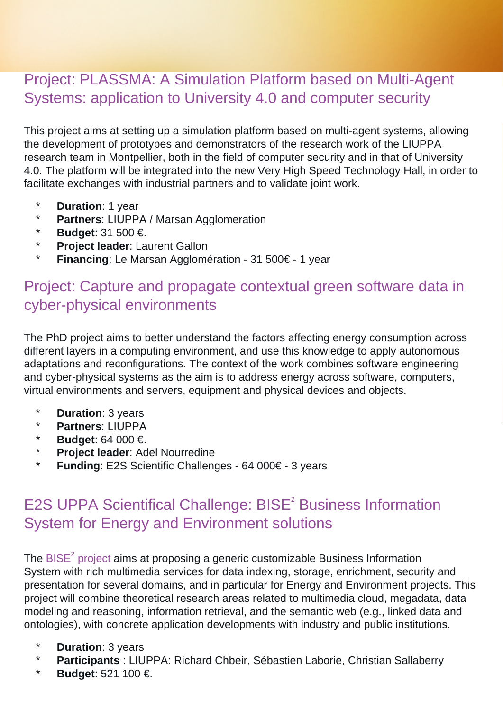#### Project: PLASSMA: A Simulation Platform based on Multi-Agent Systems: application to University 4.0 and computer security

This project aims at setting up a simulation platform based on multi-agent systems, allowing the development of prototypes and demonstrators of the research work of the LIUPPA research team in Montpellier, both in the field of computer security and in that of University 4.0. The platform will be integrated into the new Very High Speed Technology Hall, in order to facilitate exchanges with industrial partners and to validate joint work.

- \* **Duration**: 1 year
- **Partners: LIUPPA / Marsan Agglomeration**
- \* **Budget**: 31 500 €.
- \* **Project leader**: Laurent Gallon
- \* **Financing**: Le Marsan Agglomération 31 500€ 1 year

#### <span id="page-5-0"></span>Project: Capture and propagate contextual green software data in cyber-physical environments

The PhD project aims to better understand the factors affecting energy consumption across different layers in a computing environment, and use this knowledge to apply autonomous adaptations and reconfigurations. The context of the work combines software engineering and cyber-physical systems as the aim is to address energy across software, computers, virtual environments and servers, equipment and physical devices and objects.

- \* **Duration**: 3 years
- \* **Partners**: LIUPPA
- \* **Budget**: 64 000 €.
- \* **Project leader**: Adel Nourredine
- \* **Funding**: E2S Scientific Challenges 64 000€ 3 years

#### <span id="page-5-1"></span>E2S UPPA Scientifical Challenge: BISE<sup>2</sup> Business Information System for Energy and Environment solutions

The BISE<sup>2</sup> [project](https://liuppa.univ-pau.fr/en/collaborations-and-projects/national-projects/bise2.html) aims at proposing a generic customizable Business Information System with rich multimedia services for data indexing, storage, enrichment, security and presentation for several domains, and in particular for Energy and Environment projects. This project will combine theoretical research areas related to multimedia cloud, megadata, data modeling and reasoning, information retrieval, and the semantic web (e.g., linked data and ontologies), with concrete application developments with industry and public institutions.

- \* **Duration**: 3 years
- \* **Participants** : LIUPPA: Richard Chbeir, Sébastien Laborie, Christian Sallaberry
- \* **Budget**: 521 100 €.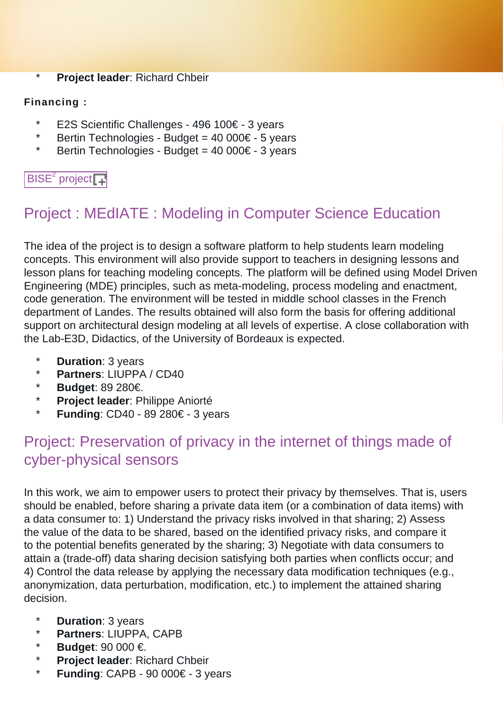\* **Project leader**: Richard Chbeir

#### **Financing :**

- \* E2S Scientific Challenges 496 100€ 3 years
- \* Bertin Technologies Budget =  $40\,000 \in -5$  years
- \* Bertin Technologies Budget =  $40\,000 \in -3$  years

#### $BISE<sup>2</sup>$  [project](https://liuppa.univ-pau.fr/en/collaborations-and-projects/national-projects/bise2.html)

### <span id="page-6-0"></span>Project : MEdIATE : Modeling in Computer Science Education

The idea of the project is to design a software platform to help students learn modeling concepts. This environment will also provide support to teachers in designing lessons and lesson plans for teaching modeling concepts. The platform will be defined using Model Driven Engineering (MDE) principles, such as meta-modeling, process modeling and enactment, code generation. The environment will be tested in middle school classes in the French department of Landes. The results obtained will also form the basis for offering additional support on architectural design modeling at all levels of expertise. A close collaboration with the Lab-E3D, Didactics, of the University of Bordeaux is expected.

- \* **Duration**: 3 years
- \* **Partners**: LIUPPA / CD40
- **Budget: 89 280€.**
- \* **Project leader**: Philippe Aniorté
- **Funding: CD40 89 280€ 3 years**

#### <span id="page-6-1"></span>Project: Preservation of privacy in the internet of things made of cyber-physical sensors

In this work, we aim to empower users to protect their privacy by themselves. That is, users should be enabled, before sharing a private data item (or a combination of data items) with a data consumer to: 1) Understand the privacy risks involved in that sharing; 2) Assess the value of the data to be shared, based on the identified privacy risks, and compare it to the potential benefits generated by the sharing; 3) Negotiate with data consumers to attain a (trade-off) data sharing decision satisfying both parties when conflicts occur; and 4) Control the data release by applying the necessary data modification techniques (e.g., anonymization, data perturbation, modification, etc.) to implement the attained sharing decision.

- \* **Duration**: 3 years
- \* **Partners**: LIUPPA, CAPB
- \* **Budget**: 90 000 €.
- \* **Project leader**: Richard Chbeir
- \* **Funding**: CAPB 90 000€ 3 years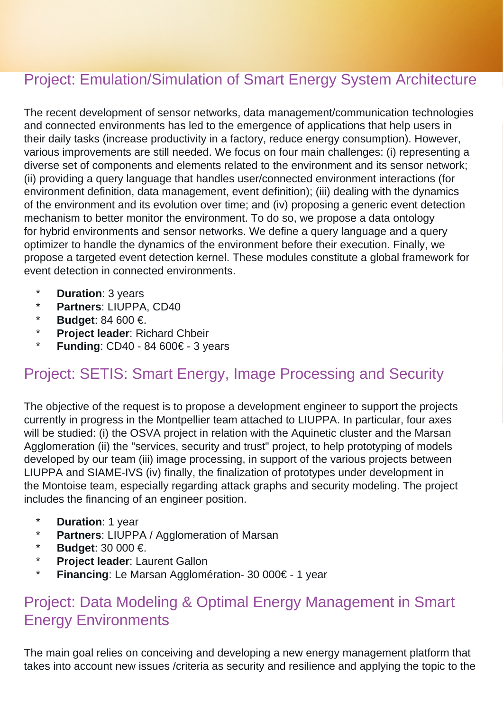#### <span id="page-7-0"></span>Project: Emulation/Simulation of Smart Energy System Architecture

The recent development of sensor networks, data management/communication technologies and connected environments has led to the emergence of applications that help users in their daily tasks (increase productivity in a factory, reduce energy consumption). However, various improvements are still needed. We focus on four main challenges: (i) representing a diverse set of components and elements related to the environment and its sensor network; (ii) providing a query language that handles user/connected environment interactions (for environment definition, data management, event definition); (iii) dealing with the dynamics of the environment and its evolution over time; and (iv) proposing a generic event detection mechanism to better monitor the environment. To do so, we propose a data ontology for hybrid environments and sensor networks. We define a query language and a query optimizer to handle the dynamics of the environment before their execution. Finally, we propose a targeted event detection kernel. These modules constitute a global framework for event detection in connected environments.

- \* **Duration**: 3 years
- \* **Partners**: LIUPPA, CD40
- \* **Budget**: 84 600 €.
- \* **Project leader**: Richard Chbeir
- **Funding: CD40 84 600€ 3 years**

#### <span id="page-7-1"></span>Project: SETIS: Smart Energy, Image Processing and Security

The objective of the request is to propose a development engineer to support the projects currently in progress in the Montpellier team attached to LIUPPA. In particular, four axes will be studied: (i) the OSVA project in relation with the Aquinetic cluster and the Marsan Agglomeration (ii) the "services, security and trust" project, to help prototyping of models developed by our team (iii) image processing, in support of the various projects between LIUPPA and SIAME-IVS (iv) finally, the finalization of prototypes under development in the Montoise team, especially regarding attack graphs and security modeling. The project includes the financing of an engineer position.

- \* **Duration**: 1 year
- \* **Partners**: LIUPPA / Agglomeration of Marsan
- \* **Budget**: 30 000 €.
- \* **Project leader**: Laurent Gallon
- **Financing:** Le Marsan Agglomération- 30 000€ 1 year

#### <span id="page-7-2"></span>Project: Data Modeling & Optimal Energy Management in Smart Energy Environments

The main goal relies on conceiving and developing a new energy management platform that takes into account new issues /criteria as security and resilience and applying the topic to the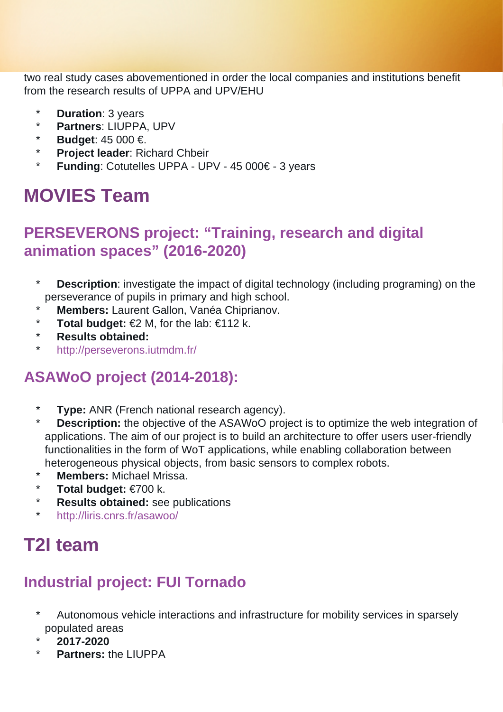two real study cases abovementioned in order the local companies and institutions benefit from the research results of UPPA and UPV/EHU

- **Duration**: 3 years
- \* **Partners**: LIUPPA, UPV
- \* **Budget**: 45 000 €.
- **Project leader: Richard Chbeir**
- \* **Funding**: Cotutelles UPPA UPV 45 000€ 3 years

# <span id="page-8-0"></span>**MOVIES Team**

#### <span id="page-8-1"></span>**PERSEVERONS project: "Training, research and digital animation spaces" (2016-2020)**

- \* **Description**: investigate the impact of digital technology (including programing) on the perseverance of pupils in primary and high school.
- **Members: Laurent Gallon, Vanéa Chiprianov.**
- \* **Total budget:** €2 M, for the lab: €112 k.
- \* **Results obtained:**
- http://perseverons.jutmdm.fr/

### <span id="page-8-2"></span>**ASAWoO project (2014-2018):**

- \* **Type:** ANR (French national research agency).<br>\* **Description:** the objective of the ASAWeO proj
- **Description:** the objective of the ASAWoO project is to optimize the web integration of applications. The aim of our project is to build an architecture to offer users user-friendly functionalities in the form of WoT applications, while enabling collaboration between heterogeneous physical objects, from basic sensors to complex robots.
- \* **Members:** Michael Mrissa.
- \* **Total budget:** €700 k.
- **Results obtained:** see publications
- \* <http://liris.cnrs.fr/asawoo/>

# <span id="page-8-3"></span>**T2I team**

### <span id="page-8-4"></span>**Industrial project: FUI Tornado**

- \* Autonomous vehicle interactions and infrastructure for mobility services in sparsely populated areas
- \* **2017-2020**
- <span id="page-8-5"></span>\* **Partners:** the LIUPPA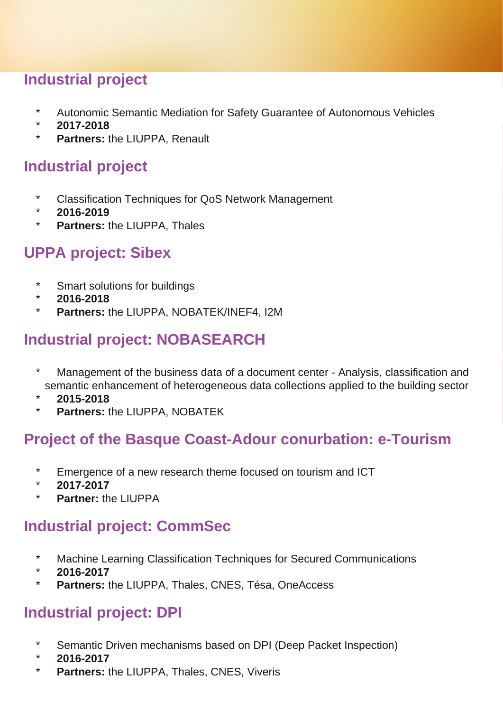#### **Industrial project**

- \* Autonomic Semantic Mediation for Safety Guarantee of Autonomous Vehicles
- \* **2017-2018**
- \* **Partners:** the LIUPPA, Renault

#### <span id="page-9-0"></span>**Industrial project**

- \* Classification Techniques for QoS Network Management
- \* **2016-2019**
- **Partners: the LIUPPA, Thales**

#### <span id="page-9-1"></span>**UPPA project: Sibex**

- \* Smart solutions for buildings
- \* **2016-2018**
- \* **Partners:** the LIUPPA, NOBATEK/INEF4, I2M

#### <span id="page-9-2"></span>**Industrial project: NOBASEARCH**

- \* Management of the business data of a document center Analysis, classification and semantic enhancement of heterogeneous data collections applied to the building sector
- \* **2015-2018**
- \* **Partners:** the LIUPPA, NOBATEK

#### <span id="page-9-3"></span>**Project of the Basque Coast-Adour conurbation: e-Tourism**

- \* Emergence of a new research theme focused on tourism and ICT
- \* **2017-2017**
- **Partner:** the LIUPPA

#### <span id="page-9-4"></span>**Industrial project: CommSec**

- \* Machine Learning Classification Techniques for Secured Communications
- \* **2016-2017**
- \* **Partners:** the LIUPPA, Thales, CNES, Tésa, OneAccess

#### <span id="page-9-5"></span>**Industrial project: DPI**

- Semantic Driven mechanisms based on DPI (Deep Packet Inspection)
- \* **2016-2017**
- \* **Partners:** the LIUPPA, Thales, CNES, Viveris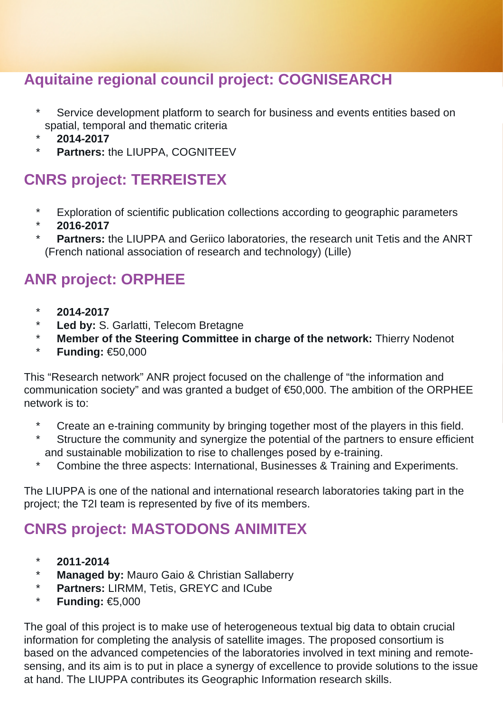#### <span id="page-10-0"></span>**Aquitaine regional council project: COGNISEARCH**

- Service development platform to search for business and events entities based on spatial, temporal and thematic criteria
- \* **2014-2017**
- **Partners: the LIUPPA, COGNITEEV**

#### <span id="page-10-1"></span>**CNRS project: TERREISTEX**

- \* Exploration of scientific publication collections according to geographic parameters
- \* **2016-2017**
- **Partners:** the LIUPPA and Geriico laboratories, the research unit Tetis and the ANRT (French national association of research and technology) (Lille)

#### <span id="page-10-2"></span>**ANR project: ORPHEE**

- \* **2014-2017**
- Led by: S. Garlatti, Telecom Bretagne
- \* **Member of the Steering Committee in charge of the network:** Thierry Nodenot
- \* **Funding:** €50,000

This "Research network" ANR project focused on the challenge of "the information and communication society" and was granted a budget of €50,000. The ambition of the ORPHEE network is to:

- \* Create an e-training community by bringing together most of the players in this field.
- \* Structure the community and synergize the potential of the partners to ensure efficient and sustainable mobilization to rise to challenges posed by e-training.
- \* Combine the three aspects: International, Businesses & Training and Experiments.

The LIUPPA is one of the national and international research laboratories taking part in the project; the T2I team is represented by five of its members.

#### <span id="page-10-3"></span>**CNRS project: MASTODONS ANIMITEX**

- \* **2011-2014**
- \* **Managed by:** Mauro Gaio & Christian Sallaberry
- \* **Partners:** LIRMM, Tetis, GREYC and ICube
- \* **Funding:** €5,000

The goal of this project is to make use of heterogeneous textual big data to obtain crucial information for completing the analysis of satellite images. The proposed consortium is based on the advanced competencies of the laboratories involved in text mining and remotesensing, and its aim is to put in place a synergy of excellence to provide solutions to the issue at hand. The LIUPPA contributes its Geographic Information research skills.